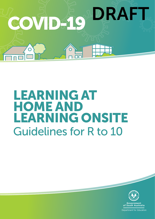

# LEARNING AT HOME AND LEARNING ONSITE Guidelines for R to 10



**Department for Education**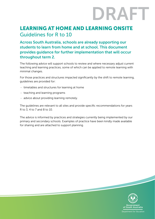# DRAFT

# LEARNING AT HOME AND LEARNING ONSITE Guidelines for R to 10

Across South Australia, schools are already supporting our students to learn from home and at school. This document provides guidance for further implementation that will occur throughout term 2.

The following advice will support schools to review and where necessary adjust current teaching and learning practices, some of which can be applied to remote learning with minimal changes.

For those practices and structures impacted significantly by the shift to remote learning, guidelines are provided for:

- timetables and structures for learning at home
- teaching and learning programs
- advice about providing learning remotely.

The guidelines are relevant to all sites and provide specific recommendations for years R to 3, 4 to 7 and 8 to 10.

The advice is informed by practices and strategies currently being implemented by our primary and secondary schools. Examples of practice have been kindly made available for sharing and are attached to support planning.

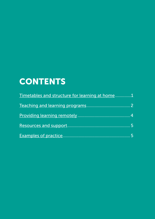# **CONTENTS**

| Timetables and structure for learning at home1 |                |
|------------------------------------------------|----------------|
|                                                |                |
|                                                | $\overline{5}$ |
|                                                |                |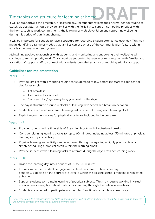# Timetables and structure for learning at home

<span id="page-3-0"></span>It will be supportive if the timetable, or learning day, for students reflects their normal school routine as  $\blacksquare$ closely as possible. It should provide families with the flexibility to support competing priorities within the home, such as work commitments, the learning of multiple children and supporting wellbeing during this period of significant change.

It will be important for schools to have a structure for recording student attendance each day. This may mean identifying a range of modes that families can use or use of the communication feature within your learning management system.

Maintaining positive relationships with students, and monitoring and supporting their wellbeing will continue to remain priority work. This should be supported by regular communication with families and allocation of support staff to connect with students identified as at risk or requiring additional support.

# Guidelines for implementation

# Years R - 3

- Provide families with a morning routine for students to follow before the start of each school day, for example:
	- o Eat breakfast
	- o Get dressed for school
	- o 'Pack your bag' (get everything you need for the day).
- The day is structured around 4 blocks of learning with scheduled breaks in between.
- Students are provided a different learning task to attempt during each learning block.
- Explicit recommendations for physical activity are included in the program

# Years 4 - 7

- Provide students with a timetable of 3 learning blocks with 2 scheduled breaks.
- Consider planning learning blocks for up to 90 minutes, including at least 30 minutes of physical learning or physical activity.
- Physical learning and activity can be achieved through integrating a highly practical task or simply scheduling a physical break within the learning block.
- Provide students with 3 learning tasks to attempt during the day; 1 task per learning block.

# Years 8 - 10

- Divide the learning day into 3 periods of 90 to 120 minutes.
- It is recommended students engage with at least 3 different subjects per day. Schools will decide on the appropriate level to which the existing school timetable is replicated at home.
- Support students to maintain learning of practical subjects. This may require working in virtual environments, using household materials or learning through theoretical alternatives.
- Students are required to participate in scheduled 'real time' contact lesson each day.

*'Real time' refers to a teacher being available to communicate with students and families in real time. This can be achieved via a phone contact, live emailing or online communication.*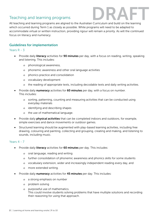# <span id="page-4-0"></span>Teaching and learning programs



All teaching and learning programs are aligned to the Australian Curriculum and build on the learning which occurred during Term 1 as closely as possible. While programs will need to be adapted to accommodate virtual or written instruction, providing rigour will remain a priority. As will the continued focus on literacy and numeracy.

# Guidelines for implementation

## Years R - 3

- Provide daily literacy activities for 90 minutes per day, with a focus on reading, writing, speaking and listening. This includes:
	- o phonological awareness,
	- o phonemic awareness and other oral language activities
	- o phonics practice and consolidation
	- o vocabulary development
	- o the reading of appropriate texts, including decodable texts and daily writing activities.
- Provide daily **numeracy** activities for 60 minutes per day, with a focus on number. This includes:
	- o sorting, patterning, counting and measuring activities that can be conducted using everyday materials
	- o identifying and describing shapes
	- o the use of mathematical language.
- Provide daily **physical activities** that can be completed indoors and outdoors, for example, simple exercises and dance movements or outdoor games.
- Structured learning should be augmented with play-based learning activities, including free drawing, colouring and painting, collecting and grouping, creating and making, and listening to sounds, including music.

# Years 4 - 7

- Provide daily literacy activities for 60 minutes per day. This includes:
	- o oral language, reading and writing
	- o further consolidation of phonemic awareness and phonics skills for some students
	- o vocabulary extension, wider and increasingly independent reading every day, and
	- o more extended writing.
- Provide daily numeracy activities for 45 minutes per day. This includes:
	- o a strong emphasis on number
	- o problem solving
	- o purposeful use of mathematics. This could involve students solving problems that have multiple solutions and recording their reasoning for using that approach.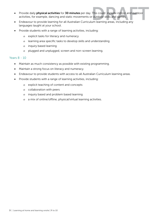- Provide daily **physical activities** for **30 minutes** per day. This could linclude indoor and outdoor activities, for example, dancing and static movements or outdoor skills and games.
- Endeavour to provide learning for all Australian Curriculum learning areas, including any languages taught at your school.
- Provide students with a range of learning activities, including:
	- o explicit tasks for literacy and numeracy
	- o learning area specific tasks to develop skills and understanding
	- o inquiry based learning
	- o plugged and unplugged, screen and non-screen learning.

## Years 8 - 10

- Maintain as much consistency as possible with existing programming.
- Maintain a strong focus on literacy and numeracy.
- Endeavour to provide students with access to all Australian Curriculum learning areas.
- Provide students with a range of learning activities, including:
	- o explicit teaching of content and concepts
	- o collaboration with peers
	- o inquiry based and problem based learning
	- o a mix of online/offline, physical/virtual learning activities.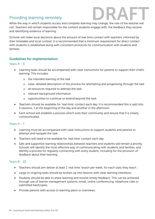# <span id="page-6-0"></span>Providing learning remotely



While the way in which students access and complete learning may change, the role of the teacher will not. Teachers will remain responsible for the content students engage with, the feedback they receive and identifying evidence of learning.

Schools will make local decisions about the amount of real time contact with teachers, informed by their timetable and local context. It is recommended that a minimum requirement for direct contact with students is established along with consistent protocols for communication with students and families.

# Guidelines for implementation

Years R - 3

- Learning tasks should be accompanied with clear instructions for parents to support their child's learning. This includes:
	- o the intended learning of the task
	- o clear, detailed description of the process for attempting and progressing through the task
	- o all resources required to attempt the task
	- o relevant background information
	- o opportunities to continue or extend beyond the task.
- Teachers should be available for 'real time' contact each day. It is recommended this is split into 2 sessions, 1 at the beginning of the day and another in the afternoon.
- Each school will establish a process which suits their community and ensure that it is clearly communicated.

## Years 4 - 7

- Learning must be accompanied with clear instructions to support students and parents to attempt and navigate the task.
- Teachers will need to be available for 'real time' contact each day.
- Safe and supportive learning relationships between teachers and students will remain a priority. Schools will identify the most effective way of communicating with students and families, and identify a process for regularly connecting with every student, including for the provision of feedback about their learning.

#### Years 8 - 10

- Teachers should aim deliver at least 1 'real time' lesson per week, for each class they teach.
- Large or ongoing tasks should be broken up into lessons with clear learning intentions.
- Students should be able to share learning and receive timely feedback. This can be achieved through use of learner management systems, email, online conferencing, telephone calls or submitted hardcopies.
- **Provide parents with access to learning plans or overviews.**